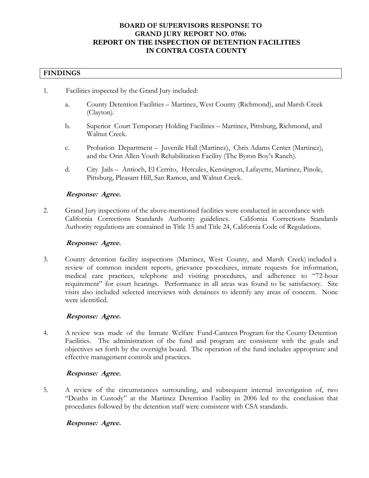# **BOARD OF SUPERVISORS RESPONSE TO GRAND JURY REPORT NO. 0706: REPORT ON THE INSPECTION OF DETENTION FACILITIES IN CONTRA COSTA COUNTY**

# **FINDINGS**

- 1. Facilities inspected by the Grand Jury included:
	- a. County Detention Facilities Martinez, West County (Richmond), and Marsh Creek (Clayton).
	- b. Superior Court Temporary Holding Facilities Martinez, Pittsburg, Richmond, and Walnut Creek.
	- c. Probation Department Juvenile Hall (Martinez), Chris Adams Center (Martinez), and the Orin Allen Youth Rehabilitation Facility (The Byron Boy's Ranch).
	- d. City Jails Antioch, El Cerrito, Hercules, Kensington, Lafayette, Martinez, Pinole, Pittsburg, Pleasant Hill, San Ramon, and Walnut Creek.

# **Response: Agree.**

2. Grand Jury inspections of the above-mentioned facilities were conducted in accordance with California Corrections Standards Authority guidelines. California Corrections Standards Authority regulations are contained in Title 15 and Title 24, California Code of Regulations.

# **Response: Agree.**

3. County detention facility inspections (Martinez, West County, and Marsh Creek) included a review of common incident reports, grievance procedures, inmate requests for information, medical care practices, telephone and visiting procedures, and adherence to "72-hour requirement" for court hearings. Performance in all areas was found to be satisfactory. Site visits also included selected interviews with detainees to identify any areas of concern. None were identified.

# **Response: Agree.**

4. A review was made of the Inmate Welfare Fund-Canteen Program for the County Detention Facilities. The administration of the fund and program are consistent with the goals and objectives set forth by the oversight board. The operation of the fund includes appropriate and effective management controls and practices.

# **Response: Agree.**

5. A review of the circumstances surrounding, and subsequent internal investigation of, two "Deaths in Custody" at the Martinez Detention Facility in 2006 led to the conclusion that procedures followed by the detention staff were consistent with CSA standards.

# **Response: Agree.**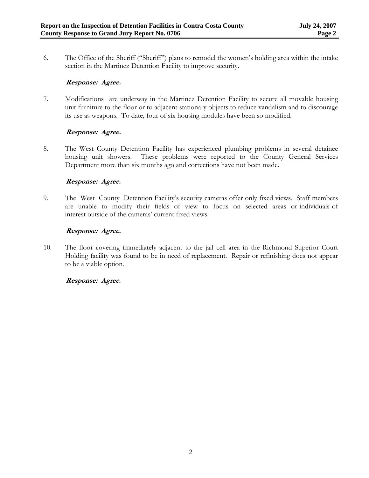6. The Office of the Sheriff ("Sheriff") plans to remodel the women's holding area within the intake section in the Martinez Detention Facility to improve security.

# **Response: Agree.**

7. Modifications are underway in the Martinez Detention Facility to secure all movable housing unit furniture to the floor or to adjacent stationary objects to reduce vandalism and to discourage its use as weapons. To date, four of six housing modules have been so modified.

# **Response: Agree.**

8. The West County Detention Facility has experienced plumbing problems in several detainee housing unit showers. These problems were reported to the County General Services Department more than six months ago and corrections have not been made.

# **Response: Agree.**

9. The West County Detention Facility's security cameras offer only fixed views. Staff members are unable to modify their fields of view to focus on selected areas or individuals of interest outside of the cameras' current fixed views.

# **Response: Agree.**

10. The floor covering immediately adjacent to the jail cell area in the Richmond Superior Court Holding facility was found to be in need of replacement. Repair or refinishing does not appear to be a viable option.

# **Response: Agree.**